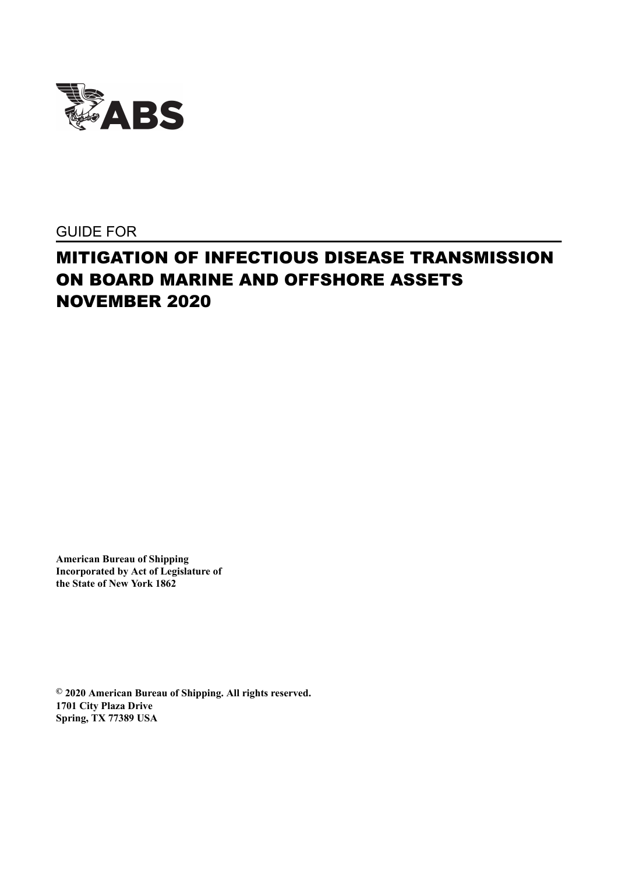

GUIDE FOR

# MITIGATION OF INFECTIOUS DISEASE TRANSMISSION ON BOARD MARINE AND OFFSHORE ASSETS NOVEMBER 2020

**American Bureau of Shipping Incorporated by Act of Legislature of the State of New York 1862**

**© 2020 American Bureau of Shipping. All rights reserved. 1701 City Plaza Drive Spring, TX 77389 USA**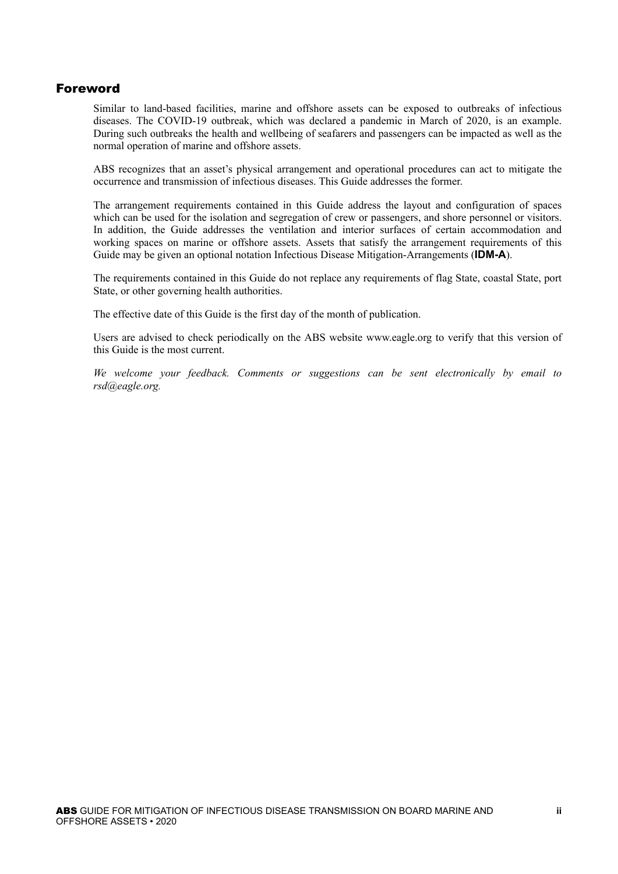## Foreword

Similar to land-based facilities, marine and offshore assets can be exposed to outbreaks of infectious diseases. The COVID-19 outbreak, which was declared a pandemic in March of 2020, is an example. During such outbreaks the health and wellbeing of seafarers and passengers can be impacted as well as the normal operation of marine and offshore assets.

ABS recognizes that an asset's physical arrangement and operational procedures can act to mitigate the occurrence and transmission of infectious diseases. This Guide addresses the former.

The arrangement requirements contained in this Guide address the layout and configuration of spaces which can be used for the isolation and segregation of crew or passengers, and shore personnel or visitors. In addition, the Guide addresses the ventilation and interior surfaces of certain accommodation and working spaces on marine or offshore assets. Assets that satisfy the arrangement requirements of this Guide may be given an optional notation Infectious Disease Mitigation-Arrangements (**IDM-A**).

The requirements contained in this Guide do not replace any requirements of flag State, coastal State, port State, or other governing health authorities.

The effective date of this Guide is the first day of the month of publication.

Users are advised to check periodically on the ABS website www.eagle.org to verify that this version of this Guide is the most current.

*We welcome your feedback. Comments or suggestions can be sent electronically by email to rsd@eagle.org.*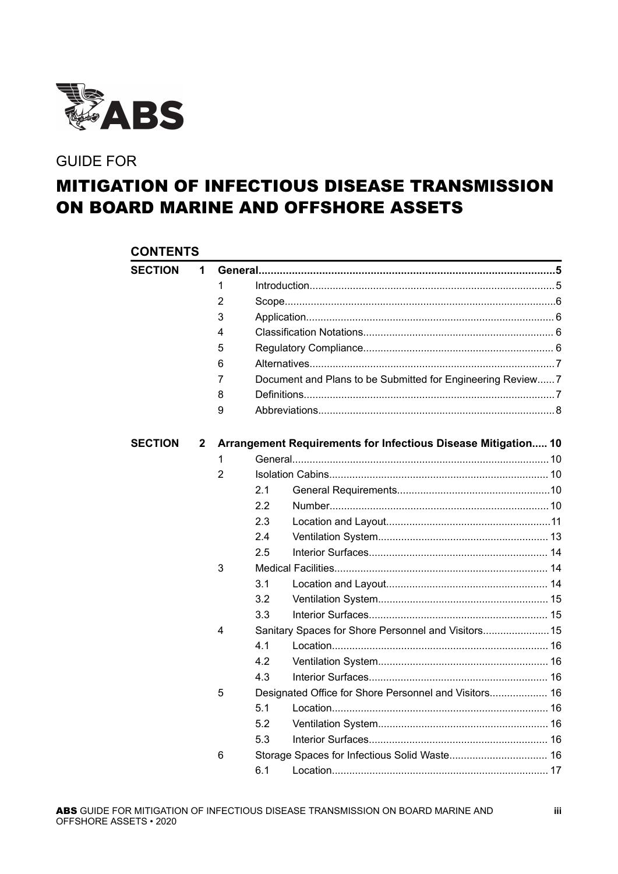

## GUIDE FOR

# MITIGATION OF INFECTIOUS DISEASE TRANSMISSION ON BOARD MARINE AND OFFSHORE ASSETS

|                | <b>CONTENTS</b> |   |     |                                                               |  |  |  |
|----------------|-----------------|---|-----|---------------------------------------------------------------|--|--|--|
| <b>SECTION</b> | 1               |   |     |                                                               |  |  |  |
|                |                 | 1 |     |                                                               |  |  |  |
|                |                 | 2 |     |                                                               |  |  |  |
|                |                 | 3 |     |                                                               |  |  |  |
|                |                 | 4 |     |                                                               |  |  |  |
|                |                 | 5 |     |                                                               |  |  |  |
|                |                 | 6 |     |                                                               |  |  |  |
|                |                 | 7 |     | Document and Plans to be Submitted for Engineering Review 7   |  |  |  |
|                |                 | 8 |     |                                                               |  |  |  |
|                |                 | 9 |     |                                                               |  |  |  |
| <b>SECTION</b> | $\mathbf{2}$    |   |     | Arrangement Requirements for Infectious Disease Mitigation 10 |  |  |  |
|                |                 | 1 |     |                                                               |  |  |  |
|                |                 | 2 |     |                                                               |  |  |  |
|                |                 |   | 2.1 |                                                               |  |  |  |
|                |                 |   | 2.2 |                                                               |  |  |  |
|                |                 |   | 2.3 |                                                               |  |  |  |
|                |                 |   | 2.4 |                                                               |  |  |  |
|                |                 |   | 2.5 |                                                               |  |  |  |
|                |                 | 3 |     |                                                               |  |  |  |
|                |                 |   | 3.1 |                                                               |  |  |  |
|                |                 |   | 3.2 |                                                               |  |  |  |
|                |                 |   | 3.3 |                                                               |  |  |  |
|                |                 | 4 |     | Sanitary Spaces for Shore Personnel and Visitors 15           |  |  |  |
|                |                 |   | 4.1 |                                                               |  |  |  |
|                |                 |   | 4.2 |                                                               |  |  |  |
|                |                 |   | 4.3 |                                                               |  |  |  |
|                |                 | 5 |     | Designated Office for Shore Personnel and Visitors 16         |  |  |  |
|                |                 |   | 5.1 |                                                               |  |  |  |
|                |                 |   | 5.2 |                                                               |  |  |  |
|                |                 |   | 5.3 |                                                               |  |  |  |
|                |                 | 6 |     |                                                               |  |  |  |
|                |                 |   | 6.1 |                                                               |  |  |  |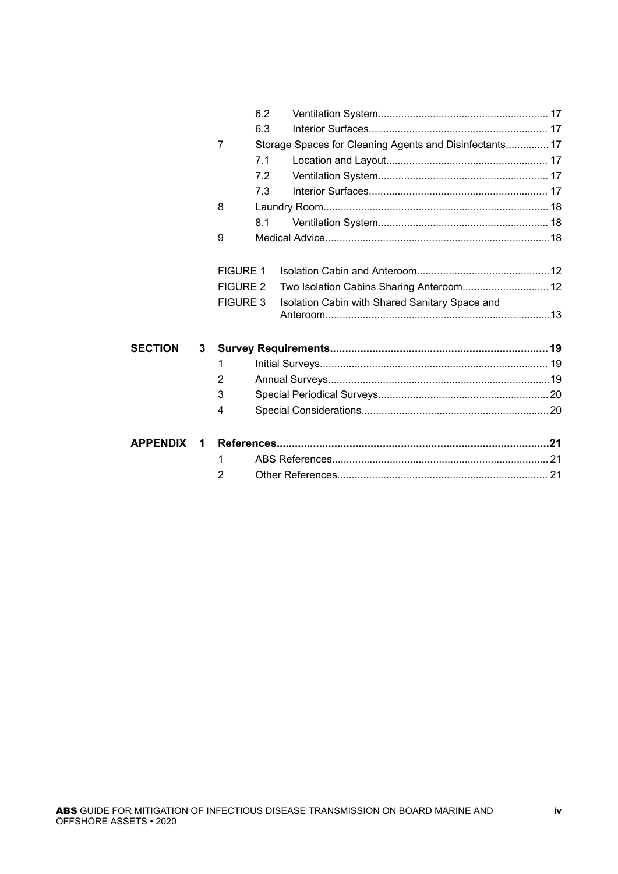|                 |   | 6.2             |                                                         |  |
|-----------------|---|-----------------|---------------------------------------------------------|--|
|                 |   | 6.3             |                                                         |  |
|                 |   | 7               | Storage Spaces for Cleaning Agents and Disinfectants 17 |  |
|                 |   | 7.1             |                                                         |  |
|                 |   | 7.2             |                                                         |  |
|                 |   | 7.3             |                                                         |  |
|                 | 8 |                 |                                                         |  |
|                 |   | 8.1             |                                                         |  |
|                 |   | 9               |                                                         |  |
|                 |   |                 |                                                         |  |
|                 |   | <b>FIGURE 1</b> |                                                         |  |
|                 |   | <b>FIGURE 2</b> | Two Isolation Cabins Sharing Anteroom 12                |  |
|                 |   | <b>FIGURE 3</b> | Isolation Cabin with Shared Sanitary Space and          |  |
|                 |   |                 |                                                         |  |
|                 |   |                 |                                                         |  |
| <b>SECTION</b>  | 3 |                 |                                                         |  |
|                 |   | 1               |                                                         |  |
|                 |   | 2               |                                                         |  |
|                 |   | 3               |                                                         |  |
|                 |   | 4               |                                                         |  |
|                 |   |                 |                                                         |  |
| <b>APPENDIX</b> | 1 |                 |                                                         |  |
|                 |   | 1               |                                                         |  |
|                 |   | 2               |                                                         |  |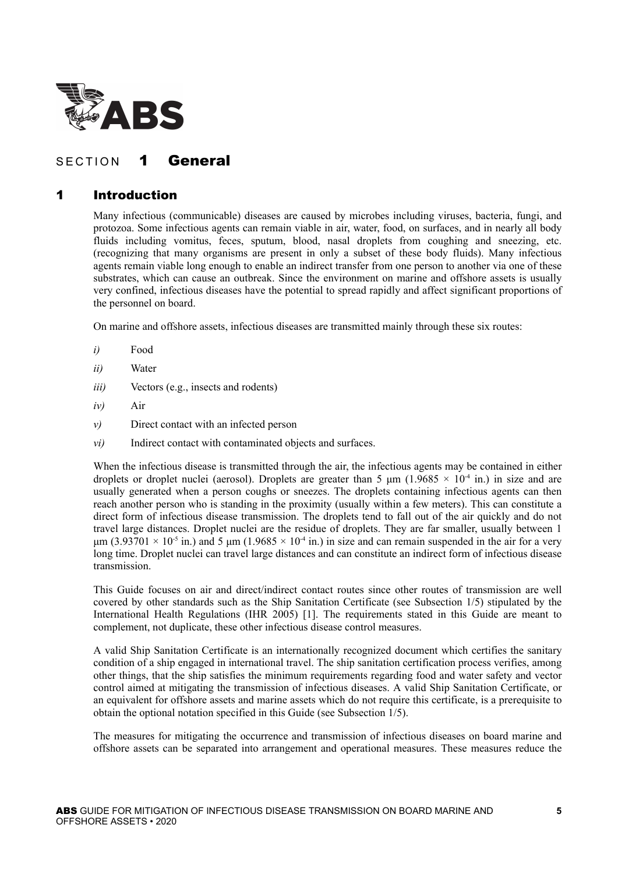<span id="page-4-0"></span>

## SECTION 1 General

## 1 Introduction

Many infectious (communicable) diseases are caused by microbes including viruses, bacteria, fungi, and protozoa. Some infectious agents can remain viable in air, water, food, on surfaces, and in nearly all body fluids including vomitus, feces, sputum, blood, nasal droplets from coughing and sneezing, etc. (recognizing that many organisms are present in only a subset of these body fluids). Many infectious agents remain viable long enough to enable an indirect transfer from one person to another via one of these substrates, which can cause an outbreak. Since the environment on marine and offshore assets is usually very confined, infectious diseases have the potential to spread rapidly and affect significant proportions of the personnel on board.

On marine and offshore assets, infectious diseases are transmitted mainly through these six routes:

- *i)* Food
- *ii)* Water
- *iii)* Vectors (e.g., insects and rodents)
- *iv)* Air
- *v)* Direct contact with an infected person
- *vi*) Indirect contact with contaminated objects and surfaces.

When the infectious disease is transmitted through the air, the infectious agents may be contained in either droplets or droplet nuclei (aerosol). Droplets are greater than 5  $\mu$ m (1.9685 × 10<sup>-4</sup> in.) in size and are usually generated when a person coughs or sneezes. The droplets containing infectious agents can then reach another person who is standing in the proximity (usually within a few meters). This can constitute a direct form of infectious disease transmission. The droplets tend to fall out of the air quickly and do not travel large distances. Droplet nuclei are the residue of droplets. They are far smaller, usually between 1  $\mu$ m (3.93701 × 10<sup>-5</sup> in.) and 5  $\mu$ m (1.9685 × 10<sup>-4</sup> in.) in size and can remain suspended in the air for a very long time. Droplet nuclei can travel large distances and can constitute an indirect form of infectious disease transmission.

This Guide focuses on air and direct/indirect contact routes since other routes of transmission are well covered by other standards such as the Ship Sanitation Certificate (see Subsection 1/5) stipulated by the International Health Regulations (IHR 2005) [1]. The requirements stated in this Guide are meant to complement, not duplicate, these other infectious disease control measures.

A valid Ship Sanitation Certificate is an internationally recognized document which certifies the sanitary condition of a ship engaged in international travel. The ship sanitation certification process verifies, among other things, that the ship satisfies the minimum requirements regarding food and water safety and vector control aimed at mitigating the transmission of infectious diseases. A valid Ship Sanitation Certificate, or an equivalent for offshore assets and marine assets which do not require this certificate, is a prerequisite to obtain the optional notation specified in this Guide (see Subsection 1/5).

The measures for mitigating the occurrence and transmission of infectious diseases on board marine and offshore assets can be separated into arrangement and operational measures. These measures reduce the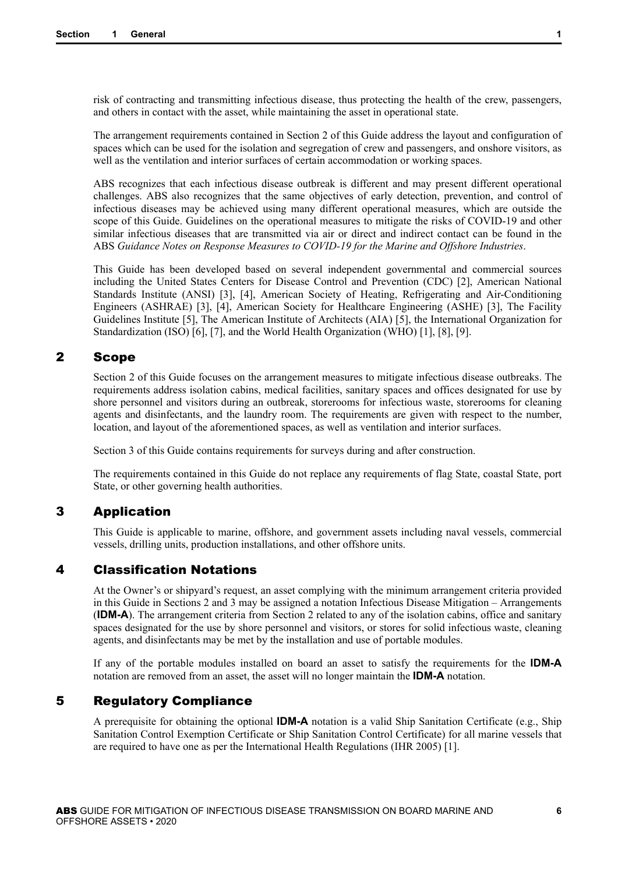<span id="page-5-0"></span>risk of contracting and transmitting infectious disease, thus protecting the health of the crew, passengers, and others in contact with the asset, while maintaining the asset in operational state.

The arrangement requirements contained in Section 2 of this Guide address the layout and configuration of spaces which can be used for the isolation and segregation of crew and passengers, and onshore visitors, as well as the ventilation and interior surfaces of certain accommodation or working spaces.

ABS recognizes that each infectious disease outbreak is different and may present different operational challenges. ABS also recognizes that the same objectives of early detection, prevention, and control of infectious diseases may be achieved using many different operational measures, which are outside the scope of this Guide. Guidelines on the operational measures to mitigate the risks of COVID-19 and other similar infectious diseases that are transmitted via air or direct and indirect contact can be found in the ABS *Guidance Notes on Response Measures to COVID-19 for the Marine and Offshore Industries*.

This Guide has been developed based on several independent governmental and commercial sources including the United States Centers for Disease Control and Prevention (CDC) [2], American National Standards Institute (ANSI) [3], [4], American Society of Heating, Refrigerating and Air-Conditioning Engineers (ASHRAE) [3], [4], American Society for Healthcare Engineering (ASHE) [3], The Facility Guidelines Institute [5], The American Institute of Architects (AIA) [5], the International Organization for Standardization (ISO) [6], [7], and the World Health Organization (WHO) [1], [8], [9].

## 2 Scope

Section 2 of this Guide focuses on the arrangement measures to mitigate infectious disease outbreaks. The requirements address isolation cabins, medical facilities, sanitary spaces and offices designated for use by shore personnel and visitors during an outbreak, storerooms for infectious waste, storerooms for cleaning agents and disinfectants, and the laundry room. The requirements are given with respect to the number, location, and layout of the aforementioned spaces, as well as ventilation and interior surfaces.

Section 3 of this Guide contains requirements for surveys during and after construction.

The requirements contained in this Guide do not replace any requirements of flag State, coastal State, port State, or other governing health authorities.

## 3 Application

This Guide is applicable to marine, offshore, and government assets including naval vessels, commercial vessels, drilling units, production installations, and other offshore units.

## 4 Classification Notations

At the Owner's or shipyard's request, an asset complying with the minimum arrangement criteria provided in this Guide in Sections 2 and 3 may be assigned a notation Infectious Disease Mitigation – Arrangements (**IDM-A**). The arrangement criteria from Section 2 related to any of the isolation cabins, office and sanitary spaces designated for the use by shore personnel and visitors, or stores for solid infectious waste, cleaning agents, and disinfectants may be met by the installation and use of portable modules.

If any of the portable modules installed on board an asset to satisfy the requirements for the **IDM-A** notation are removed from an asset, the asset will no longer maintain the **IDM-A** notation.

## 5 Regulatory Compliance

A prerequisite for obtaining the optional **IDM-A** notation is a valid Ship Sanitation Certificate (e.g., Ship Sanitation Control Exemption Certificate or Ship Sanitation Control Certificate) for all marine vessels that are required to have one as per the International Health Regulations (IHR 2005) [1].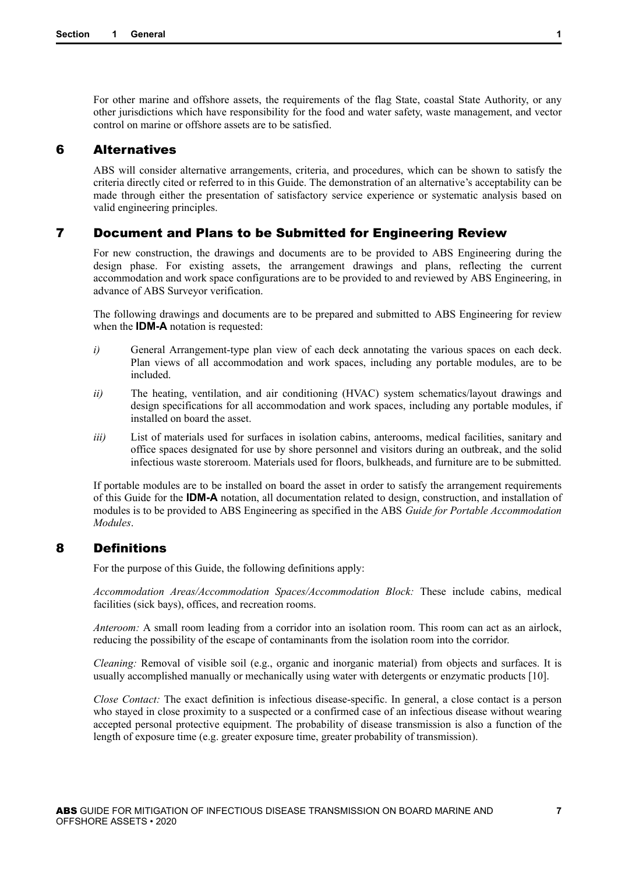<span id="page-6-0"></span>For other marine and offshore assets, the requirements of the flag State, coastal State Authority, or any other jurisdictions which have responsibility for the food and water safety, waste management, and vector control on marine or offshore assets are to be satisfied.

#### 6 Alternatives

ABS will consider alternative arrangements, criteria, and procedures, which can be shown to satisfy the criteria directly cited or referred to in this Guide. The demonstration of an alternative's acceptability can be made through either the presentation of satisfactory service experience or systematic analysis based on valid engineering principles.

## 7 Document and Plans to be Submitted for Engineering Review

For new construction, the drawings and documents are to be provided to ABS Engineering during the design phase. For existing assets, the arrangement drawings and plans, reflecting the current accommodation and work space configurations are to be provided to and reviewed by ABS Engineering, in advance of ABS Surveyor verification.

The following drawings and documents are to be prepared and submitted to ABS Engineering for review when the **IDM-A** notation is requested:

- *i*) General Arrangement-type plan view of each deck annotating the various spaces on each deck. Plan views of all accommodation and work spaces, including any portable modules, are to be included.
- *ii*) The heating, ventilation, and air conditioning (HVAC) system schematics/layout drawings and design specifications for all accommodation and work spaces, including any portable modules, if installed on board the asset.
- *iii*) List of materials used for surfaces in isolation cabins, anterooms, medical facilities, sanitary and office spaces designated for use by shore personnel and visitors during an outbreak, and the solid infectious waste storeroom. Materials used for floors, bulkheads, and furniture are to be submitted.

If portable modules are to be installed on board the asset in order to satisfy the arrangement requirements of this Guide for the **IDM-A** notation, all documentation related to design, construction, and installation of modules is to be provided to ABS Engineering as specified in the ABS *Guide for Portable Accommodation Modules*.

## 8 Definitions

For the purpose of this Guide, the following definitions apply:

*Accommodation Areas/Accommodation Spaces/Accommodation Block:* These include cabins, medical facilities (sick bays), offices, and recreation rooms.

*Anteroom:* A small room leading from a corridor into an isolation room. This room can act as an airlock, reducing the possibility of the escape of contaminants from the isolation room into the corridor.

*Cleaning:* Removal of visible soil (e.g., organic and inorganic material) from objects and surfaces. It is usually accomplished manually or mechanically using water with detergents or enzymatic products [10].

*Close Contact:* The exact definition is infectious disease-specific. In general, a close contact is a person who stayed in close proximity to a suspected or a confirmed case of an infectious disease without wearing accepted personal protective equipment. The probability of disease transmission is also a function of the length of exposure time (e.g. greater exposure time, greater probability of transmission).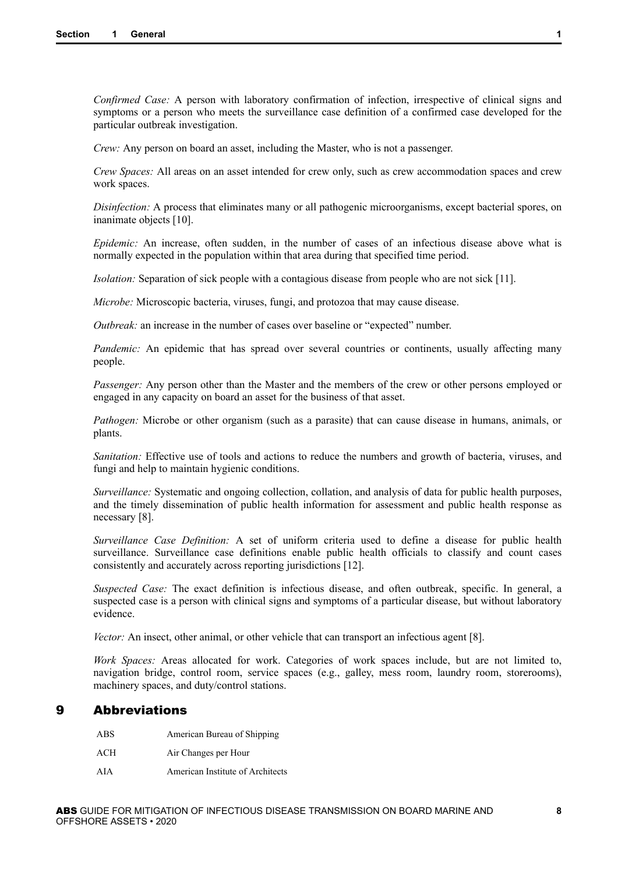<span id="page-7-0"></span>*Confirmed Case:* A person with laboratory confirmation of infection, irrespective of clinical signs and symptoms or a person who meets the surveillance case definition of a confirmed case developed for the particular outbreak investigation.

*Crew:* Any person on board an asset, including the Master, who is not a passenger.

*Crew Spaces:* All areas on an asset intended for crew only, such as crew accommodation spaces and crew work spaces.

*Disinfection:* A process that eliminates many or all pathogenic microorganisms, except bacterial spores, on inanimate objects [10].

*Epidemic:* An increase, often sudden, in the number of cases of an infectious disease above what is normally expected in the population within that area during that specified time period.

*Isolation:* Separation of sick people with a contagious disease from people who are not sick [11].

*Microbe:* Microscopic bacteria, viruses, fungi, and protozoa that may cause disease.

*Outbreak:* an increase in the number of cases over baseline or "expected" number.

*Pandemic:* An epidemic that has spread over several countries or continents, usually affecting many people.

*Passenger:* Any person other than the Master and the members of the crew or other persons employed or engaged in any capacity on board an asset for the business of that asset.

*Pathogen:* Microbe or other organism (such as a parasite) that can cause disease in humans, animals, or plants.

*Sanitation:* Effective use of tools and actions to reduce the numbers and growth of bacteria, viruses, and fungi and help to maintain hygienic conditions.

*Surveillance:* Systematic and ongoing collection, collation, and analysis of data for public health purposes, and the timely dissemination of public health information for assessment and public health response as necessary [8].

*Surveillance Case Definition:* A set of uniform criteria used to define a disease for public health surveillance. Surveillance case definitions enable public health officials to classify and count cases consistently and accurately across reporting jurisdictions [12].

*Suspected Case:* The exact definition is infectious disease, and often outbreak, specific. In general, a suspected case is a person with clinical signs and symptoms of a particular disease, but without laboratory evidence.

*Vector:* An insect, other animal, or other vehicle that can transport an infectious agent [8].

*Work Spaces:* Areas allocated for work. Categories of work spaces include, but are not limited to, navigation bridge, control room, service spaces (e.g., galley, mess room, laundry room, storerooms), machinery spaces, and duty/control stations.

## 9 Abbreviations

| ABS. | American Bureau of Shipping      |
|------|----------------------------------|
| ACH  | Air Changes per Hour             |
| AIA  | American Institute of Architects |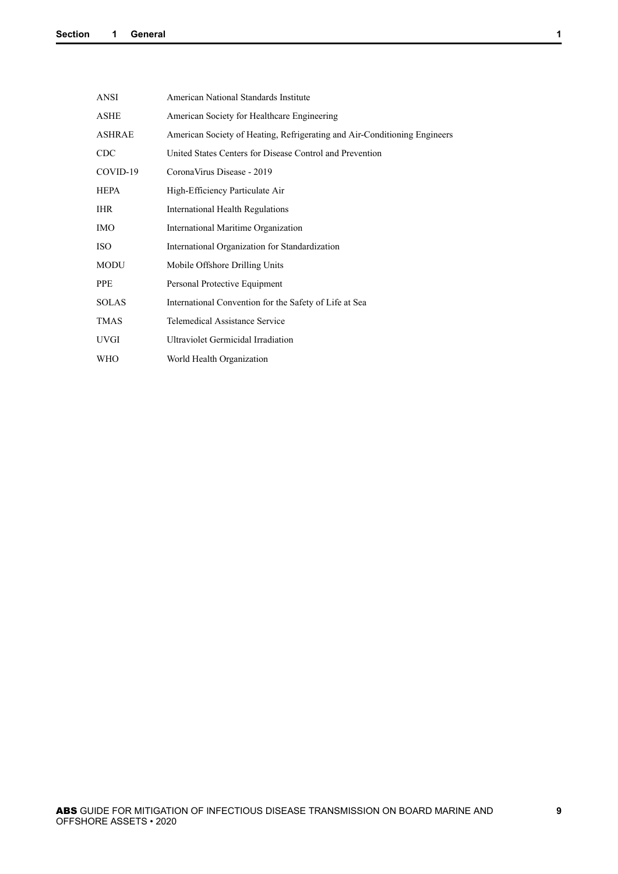| <b>ANSI</b>   | American National Standards Institute                                     |
|---------------|---------------------------------------------------------------------------|
| <b>ASHE</b>   | American Society for Healthcare Engineering                               |
| <b>ASHRAE</b> | American Society of Heating, Refrigerating and Air-Conditioning Engineers |
| <b>CDC</b>    | United States Centers for Disease Control and Prevention                  |
| COVID-19      | Corona Virus Disease - 2019                                               |
| HEPA          | High-Efficiency Particulate Air                                           |
| <b>IHR</b>    | International Health Regulations                                          |
| <b>IMO</b>    | International Maritime Organization                                       |
| <b>ISO</b>    | International Organization for Standardization                            |
| <b>MODU</b>   | Mobile Offshore Drilling Units                                            |
| PPE           | Personal Protective Equipment                                             |
| <b>SOLAS</b>  | International Convention for the Safety of Life at Sea                    |
| <b>TMAS</b>   | <b>Telemedical Assistance Service</b>                                     |
| <b>UVGI</b>   | <b>Ultraviolet Germicidal Irradiation</b>                                 |
| WHO           | World Health Organization                                                 |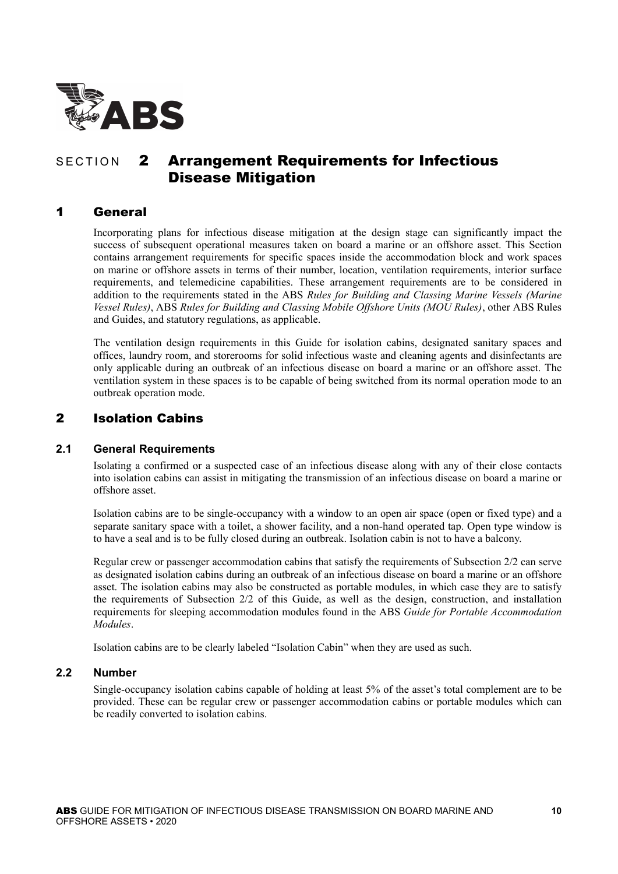<span id="page-9-0"></span>

## SECTION 2 Arrangement Requirements for Infectious Disease Mitigation

## 1 General

Incorporating plans for infectious disease mitigation at the design stage can significantly impact the success of subsequent operational measures taken on board a marine or an offshore asset. This Section contains arrangement requirements for specific spaces inside the accommodation block and work spaces on marine or offshore assets in terms of their number, location, ventilation requirements, interior surface requirements, and telemedicine capabilities. These arrangement requirements are to be considered in addition to the requirements stated in the ABS *Rules for Building and Classing Marine Vessels (Marine Vessel Rules)*, ABS *Rules for Building and Classing Mobile Offshore Units (MOU Rules)*, other ABS Rules and Guides, and statutory regulations, as applicable.

The ventilation design requirements in this Guide for isolation cabins, designated sanitary spaces and offices, laundry room, and storerooms for solid infectious waste and cleaning agents and disinfectants are only applicable during an outbreak of an infectious disease on board a marine or an offshore asset. The ventilation system in these spaces is to be capable of being switched from its normal operation mode to an outbreak operation mode.

## 2 Isolation Cabins

## **2.1 General Requirements**

Isolating a confirmed or a suspected case of an infectious disease along with any of their close contacts into isolation cabins can assist in mitigating the transmission of an infectious disease on board a marine or offshore asset.

Isolation cabins are to be single-occupancy with a window to an open air space (open or fixed type) and a separate sanitary space with a toilet, a shower facility, and a non-hand operated tap. Open type window is to have a seal and is to be fully closed during an outbreak. Isolation cabin is not to have a balcony.

Regular crew or passenger accommodation cabins that satisfy the requirements of Subsection 2/2 can serve as designated isolation cabins during an outbreak of an infectious disease on board a marine or an offshore asset. The isolation cabins may also be constructed as portable modules, in which case they are to satisfy the requirements of Subsection 2/2 of this Guide, as well as the design, construction, and installation requirements for sleeping accommodation modules found in the ABS *Guide for Portable Accommodation Modules*.

Isolation cabins are to be clearly labeled "Isolation Cabin" when they are used as such.

#### **2.2 Number**

Single-occupancy isolation cabins capable of holding at least 5% of the asset's total complement are to be provided. These can be regular crew or passenger accommodation cabins or portable modules which can be readily converted to isolation cabins.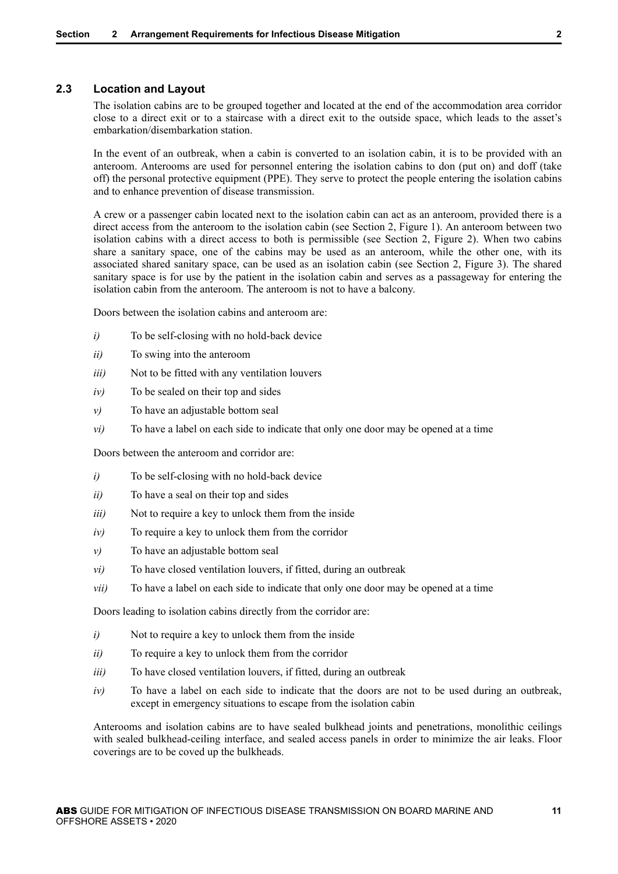## <span id="page-10-0"></span>**2.3 Location and Layout**

The isolation cabins are to be grouped together and located at the end of the accommodation area corridor close to a direct exit or to a staircase with a direct exit to the outside space, which leads to the asset's embarkation/disembarkation station.

In the event of an outbreak, when a cabin is converted to an isolation cabin, it is to be provided with an anteroom. Anterooms are used for personnel entering the isolation cabins to don (put on) and doff (take off) the personal protective equipment (PPE). They serve to protect the people entering the isolation cabins and to enhance prevention of disease transmission.

A crew or a passenger cabin located next to the isolation cabin can act as an anteroom, provided there is a direct access from the anteroom to the isolation cabin (see Section 2, Figure 1). An anteroom between two isolation cabins with a direct access to both is permissible (see Section 2, Figure 2). When two cabins share a sanitary space, one of the cabins may be used as an anteroom, while the other one, with its associated shared sanitary space, can be used as an isolation cabin (see Section 2, Figure 3). The shared sanitary space is for use by the patient in the isolation cabin and serves as a passageway for entering the isolation cabin from the anteroom. The anteroom is not to have a balcony.

Doors between the isolation cabins and anteroom are:

- *i*) To be self-closing with no hold-back device
- *ii)* To swing into the anteroom
- *iii)* Not to be fitted with any ventilation louvers
- *iv*) To be sealed on their top and sides
- *v*) To have an adjustable bottom seal
- *vi)* To have a label on each side to indicate that only one door may be opened at a time

Doors between the anteroom and corridor are:

- *i*) To be self-closing with no hold-back device
- *ii)* To have a seal on their top and sides
- *iii*) Not to require a key to unlock them from the inside
- *iv*) To require a key to unlock them from the corridor
- *v*) To have an adjustable bottom seal
- *vi)* To have closed ventilation louvers, if fitted, during an outbreak
- *vii)* To have a label on each side to indicate that only one door may be opened at a time

Doors leading to isolation cabins directly from the corridor are:

- *i*) Not to require a key to unlock them from the inside
- *ii)* To require a key to unlock them from the corridor
- *iii*) To have closed ventilation louvers, if fitted, during an outbreak
- *iv*) To have a label on each side to indicate that the doors are not to be used during an outbreak. except in emergency situations to escape from the isolation cabin

Anterooms and isolation cabins are to have sealed bulkhead joints and penetrations, monolithic ceilings with sealed bulkhead-ceiling interface, and sealed access panels in order to minimize the air leaks. Floor coverings are to be coved up the bulkheads.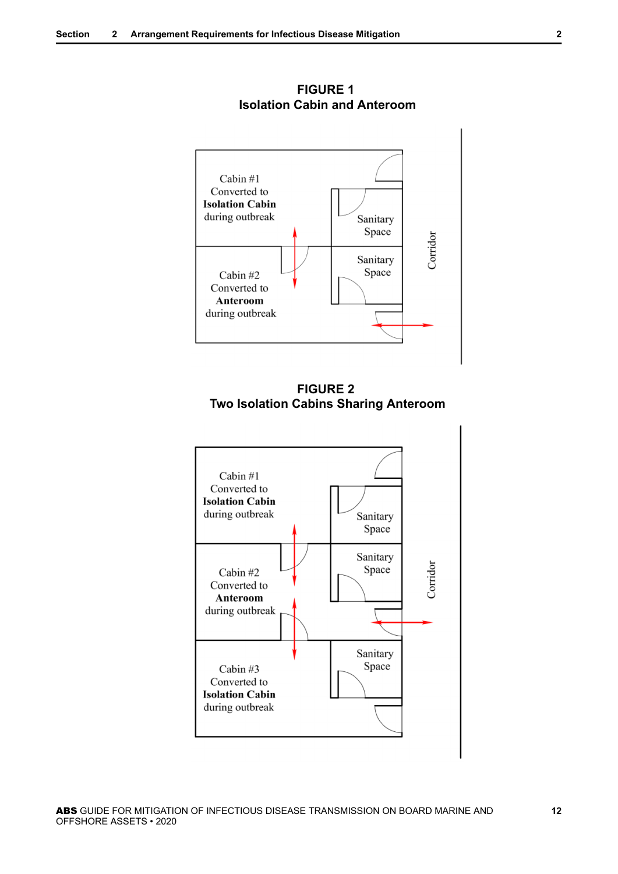<span id="page-11-0"></span>

**FIGURE 1 Isolation Cabin and Anteroom**



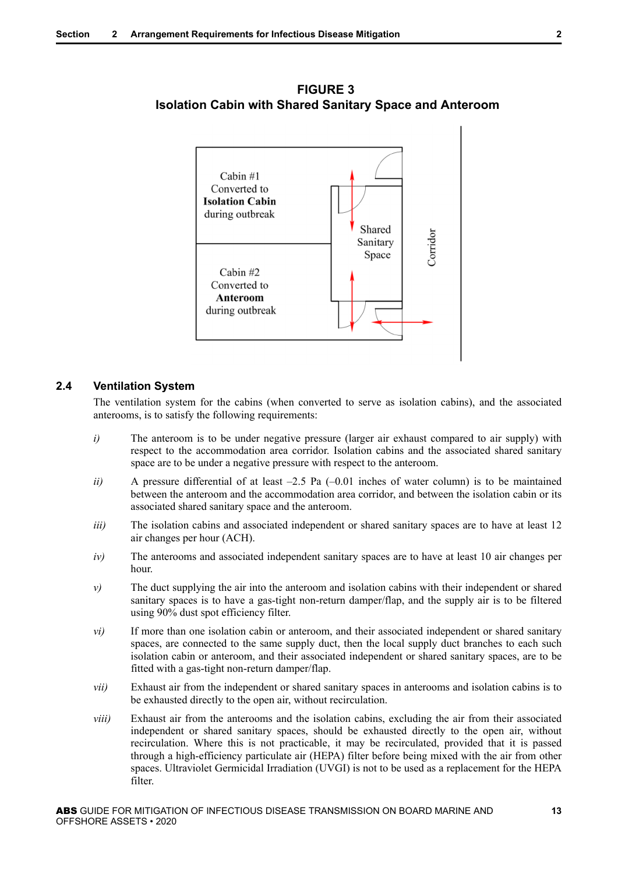

<span id="page-12-0"></span>**FIGURE 3 Isolation Cabin with Shared Sanitary Space and Anteroom**

#### **2.4 Ventilation System**

The ventilation system for the cabins (when converted to serve as isolation cabins), and the associated anterooms, is to satisfy the following requirements:

- *i*) The anteroom is to be under negative pressure (larger air exhaust compared to air supply) with respect to the accommodation area corridor. Isolation cabins and the associated shared sanitary space are to be under a negative pressure with respect to the anteroom.
- *ii*) A pressure differential of at least -2.5 Pa (-0.01 inches of water column) is to be maintained between the anteroom and the accommodation area corridor, and between the isolation cabin or its associated shared sanitary space and the anteroom.
- *iii*) The isolation cabins and associated independent or shared sanitary spaces are to have at least 12 air changes per hour (ACH).
- *iv)* The anterooms and associated independent sanitary spaces are to have at least 10 air changes per hour.
- *v*) The duct supplying the air into the anteroom and isolation cabins with their independent or shared sanitary spaces is to have a gas-tight non-return damper/flap, and the supply air is to be filtered using 90% dust spot efficiency filter.
- *vi*) If more than one isolation cabin or anteroom, and their associated independent or shared sanitary spaces, are connected to the same supply duct, then the local supply duct branches to each such isolation cabin or anteroom, and their associated independent or shared sanitary spaces, are to be fitted with a gas-tight non-return damper/flap.
- *vii*) Exhaust air from the independent or shared sanitary spaces in anterooms and isolation cabins is to be exhausted directly to the open air, without recirculation.
- *viii*) Exhaust air from the anterooms and the isolation cabins, excluding the air from their associated independent or shared sanitary spaces, should be exhausted directly to the open air, without recirculation. Where this is not practicable, it may be recirculated, provided that it is passed through a high-efficiency particulate air (HEPA) filter before being mixed with the air from other spaces. Ultraviolet Germicidal Irradiation (UVGI) is not to be used as a replacement for the HEPA filter.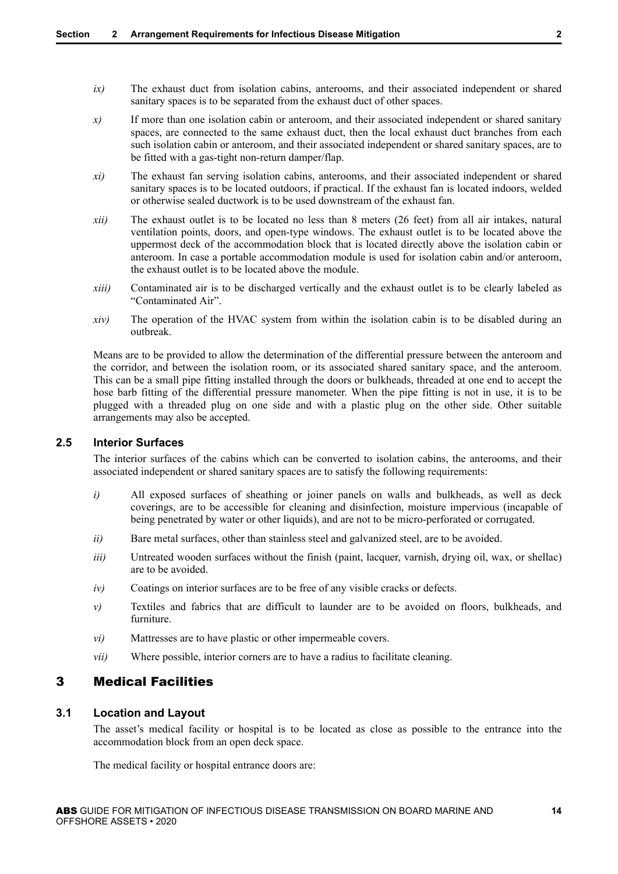- <span id="page-13-0"></span>*ix)* The exhaust duct from isolation cabins, anterooms, and their associated independent or shared sanitary spaces is to be separated from the exhaust duct of other spaces.
- *x)* If more than one isolation cabin or anteroom, and their associated independent or shared sanitary spaces, are connected to the same exhaust duct, then the local exhaust duct branches from each such isolation cabin or anteroom, and their associated independent or shared sanitary spaces, are to be fitted with a gas-tight non-return damper/flap.
- *xi)* The exhaust fan serving isolation cabins, anterooms, and their associated independent or shared sanitary spaces is to be located outdoors, if practical. If the exhaust fan is located indoors, welded or otherwise sealed ductwork is to be used downstream of the exhaust fan.
- *xii)* The exhaust outlet is to be located no less than 8 meters (26 feet) from all air intakes, natural ventilation points, doors, and open-type windows. The exhaust outlet is to be located above the uppermost deck of the accommodation block that is located directly above the isolation cabin or anteroom. In case a portable accommodation module is used for isolation cabin and/or anteroom, the exhaust outlet is to be located above the module.
- *xiii)* Contaminated air is to be discharged vertically and the exhaust outlet is to be clearly labeled as "Contaminated Air".
- *xiv*) The operation of the HVAC system from within the isolation cabin is to be disabled during an outbreak.

Means are to be provided to allow the determination of the differential pressure between the anteroom and the corridor, and between the isolation room, or its associated shared sanitary space, and the anteroom. This can be a small pipe fitting installed through the doors or bulkheads, threaded at one end to accept the hose barb fitting of the differential pressure manometer. When the pipe fitting is not in use, it is to be plugged with a threaded plug on one side and with a plastic plug on the other side. Other suitable arrangements may also be accepted.

#### **2.5 Interior Surfaces**

The interior surfaces of the cabins which can be converted to isolation cabins, the anterooms, and their associated independent or shared sanitary spaces are to satisfy the following requirements:

- *i*) All exposed surfaces of sheathing or joiner panels on walls and bulkheads, as well as deck coverings, are to be accessible for cleaning and disinfection, moisture impervious (incapable of being penetrated by water or other liquids), and are not to be micro-perforated or corrugated.
- *ii*) Bare metal surfaces, other than stainless steel and galvanized steel, are to be avoided.
- *iii*) Untreated wooden surfaces without the finish (paint, lacquer, varnish, drying oil, wax, or shellac) are to be avoided.
- *iv)* Coatings on interior surfaces are to be free of any visible cracks or defects.
- *v*) Textiles and fabrics that are difficult to launder are to be avoided on floors, bulkheads, and furniture.
- *vi)* Mattresses are to have plastic or other impermeable covers.
- *vii)* Where possible, interior corners are to have a radius to facilitate cleaning.

## 3 Medical Facilities

#### **3.1 Location and Layout**

The asset's medical facility or hospital is to be located as close as possible to the entrance into the accommodation block from an open deck space.

The medical facility or hospital entrance doors are: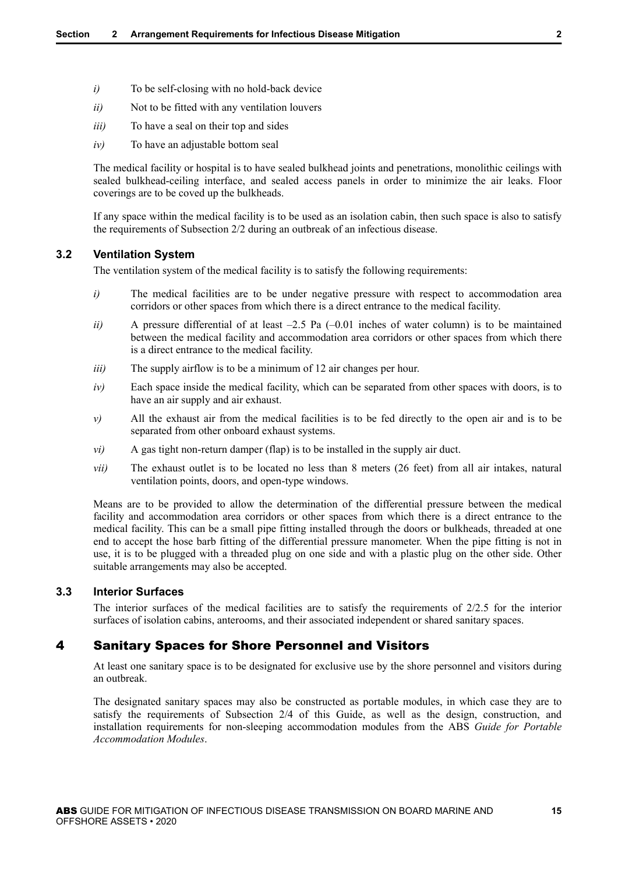- <span id="page-14-0"></span>*i*) To be self-closing with no hold-back device
- *ii*) Not to be fitted with any ventilation louvers
- *iii)* To have a seal on their top and sides
- *iv*) To have an adjustable bottom seal

The medical facility or hospital is to have sealed bulkhead joints and penetrations, monolithic ceilings with sealed bulkhead-ceiling interface, and sealed access panels in order to minimize the air leaks. Floor coverings are to be coved up the bulkheads.

If any space within the medical facility is to be used as an isolation cabin, then such space is also to satisfy the requirements of Subsection 2/2 during an outbreak of an infectious disease.

#### **3.2 Ventilation System**

The ventilation system of the medical facility is to satisfy the following requirements:

- *i*) The medical facilities are to be under negative pressure with respect to accommodation area corridors or other spaces from which there is a direct entrance to the medical facility.
- *ii*) A pressure differential of at least  $-2.5$  Pa  $(-0.01$  inches of water column) is to be maintained between the medical facility and accommodation area corridors or other spaces from which there is a direct entrance to the medical facility.
- *iii*) The supply airflow is to be a minimum of 12 air changes per hour.
- *iv*) Each space inside the medical facility, which can be separated from other spaces with doors, is to have an air supply and air exhaust.
- *v*) All the exhaust air from the medical facilities is to be fed directly to the open air and is to be separated from other onboard exhaust systems.
- *vi*) A gas tight non-return damper (flap) is to be installed in the supply air duct.
- *vii*) The exhaust outlet is to be located no less than 8 meters (26 feet) from all air intakes, natural ventilation points, doors, and open-type windows.

Means are to be provided to allow the determination of the differential pressure between the medical facility and accommodation area corridors or other spaces from which there is a direct entrance to the medical facility. This can be a small pipe fitting installed through the doors or bulkheads, threaded at one end to accept the hose barb fitting of the differential pressure manometer. When the pipe fitting is not in use, it is to be plugged with a threaded plug on one side and with a plastic plug on the other side. Other suitable arrangements may also be accepted.

#### **3.3 Interior Surfaces**

The interior surfaces of the medical facilities are to satisfy the requirements of 2/2.5 for the interior surfaces of isolation cabins, anterooms, and their associated independent or shared sanitary spaces.

## 4 Sanitary Spaces for Shore Personnel and Visitors

At least one sanitary space is to be designated for exclusive use by the shore personnel and visitors during an outbreak.

The designated sanitary spaces may also be constructed as portable modules, in which case they are to satisfy the requirements of Subsection 2/4 of this Guide, as well as the design, construction, and installation requirements for non-sleeping accommodation modules from the ABS *Guide for Portable Accommodation Modules*.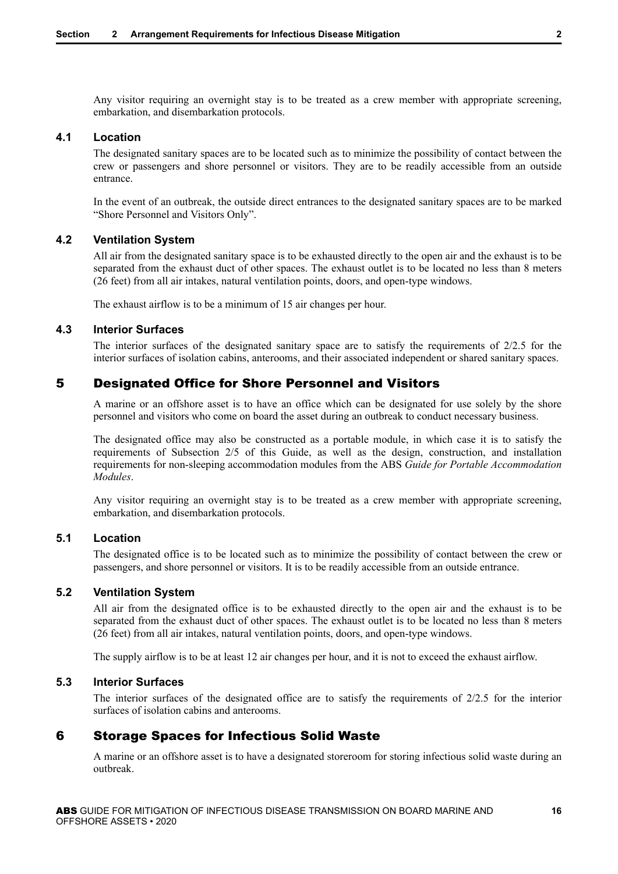<span id="page-15-0"></span>Any visitor requiring an overnight stay is to be treated as a crew member with appropriate screening, embarkation, and disembarkation protocols.

#### **4.1 Location**

The designated sanitary spaces are to be located such as to minimize the possibility of contact between the crew or passengers and shore personnel or visitors. They are to be readily accessible from an outside entrance.

In the event of an outbreak, the outside direct entrances to the designated sanitary spaces are to be marked "Shore Personnel and Visitors Only".

#### **4.2 Ventilation System**

All air from the designated sanitary space is to be exhausted directly to the open air and the exhaust is to be separated from the exhaust duct of other spaces. The exhaust outlet is to be located no less than 8 meters (26 feet) from all air intakes, natural ventilation points, doors, and open-type windows.

The exhaust airflow is to be a minimum of 15 air changes per hour.

#### **4.3 Interior Surfaces**

The interior surfaces of the designated sanitary space are to satisfy the requirements of 2/2.5 for the interior surfaces of isolation cabins, anterooms, and their associated independent or shared sanitary spaces.

## 5 Designated Office for Shore Personnel and Visitors

A marine or an offshore asset is to have an office which can be designated for use solely by the shore personnel and visitors who come on board the asset during an outbreak to conduct necessary business.

The designated office may also be constructed as a portable module, in which case it is to satisfy the requirements of Subsection 2/5 of this Guide, as well as the design, construction, and installation requirements for non-sleeping accommodation modules from the ABS *Guide for Portable Accommodation Modules*.

Any visitor requiring an overnight stay is to be treated as a crew member with appropriate screening, embarkation, and disembarkation protocols.

#### **5.1 Location**

The designated office is to be located such as to minimize the possibility of contact between the crew or passengers, and shore personnel or visitors. It is to be readily accessible from an outside entrance.

### **5.2 Ventilation System**

All air from the designated office is to be exhausted directly to the open air and the exhaust is to be separated from the exhaust duct of other spaces. The exhaust outlet is to be located no less than 8 meters (26 feet) from all air intakes, natural ventilation points, doors, and open-type windows.

The supply airflow is to be at least 12 air changes per hour, and it is not to exceed the exhaust airflow.

#### **5.3 Interior Surfaces**

The interior surfaces of the designated office are to satisfy the requirements of  $2/2.5$  for the interior surfaces of isolation cabins and anterooms.

## 6 Storage Spaces for Infectious Solid Waste

A marine or an offshore asset is to have a designated storeroom for storing infectious solid waste during an outbreak.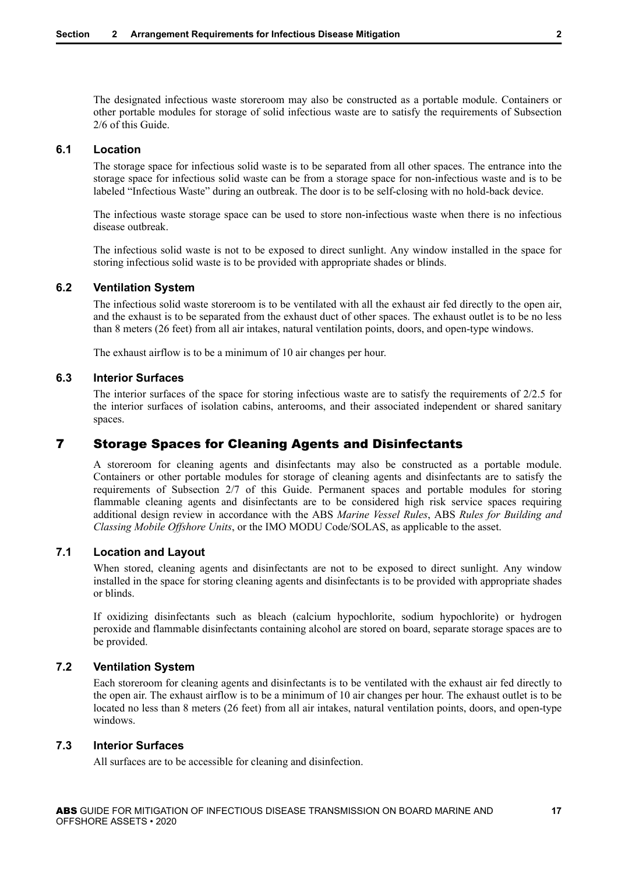<span id="page-16-0"></span>The designated infectious waste storeroom may also be constructed as a portable module. Containers or other portable modules for storage of solid infectious waste are to satisfy the requirements of Subsection 2/6 of this Guide.

#### **6.1 Location**

The storage space for infectious solid waste is to be separated from all other spaces. The entrance into the storage space for infectious solid waste can be from a storage space for non-infectious waste and is to be labeled "Infectious Waste" during an outbreak. The door is to be self-closing with no hold-back device.

The infectious waste storage space can be used to store non-infectious waste when there is no infectious disease outbreak.

The infectious solid waste is not to be exposed to direct sunlight. Any window installed in the space for storing infectious solid waste is to be provided with appropriate shades or blinds.

#### **6.2 Ventilation System**

The infectious solid waste storeroom is to be ventilated with all the exhaust air fed directly to the open air, and the exhaust is to be separated from the exhaust duct of other spaces. The exhaust outlet is to be no less than 8 meters (26 feet) from all air intakes, natural ventilation points, doors, and open-type windows.

The exhaust airflow is to be a minimum of 10 air changes per hour.

#### **6.3 Interior Surfaces**

The interior surfaces of the space for storing infectious waste are to satisfy the requirements of 2/2.5 for the interior surfaces of isolation cabins, anterooms, and their associated independent or shared sanitary spaces.

## 7 Storage Spaces for Cleaning Agents and Disinfectants

A storeroom for cleaning agents and disinfectants may also be constructed as a portable module. Containers or other portable modules for storage of cleaning agents and disinfectants are to satisfy the requirements of Subsection 2/7 of this Guide. Permanent spaces and portable modules for storing flammable cleaning agents and disinfectants are to be considered high risk service spaces requiring additional design review in accordance with the ABS *Marine Vessel Rules*, ABS *Rules for Building and Classing Mobile Offshore Units*, or the IMO MODU Code/SOLAS, as applicable to the asset.

## **7.1 Location and Layout**

When stored, cleaning agents and disinfectants are not to be exposed to direct sunlight. Any window installed in the space for storing cleaning agents and disinfectants is to be provided with appropriate shades or blinds.

If oxidizing disinfectants such as bleach (calcium hypochlorite, sodium hypochlorite) or hydrogen peroxide and flammable disinfectants containing alcohol are stored on board, separate storage spaces are to be provided.

#### **7.2 Ventilation System**

Each storeroom for cleaning agents and disinfectants is to be ventilated with the exhaust air fed directly to the open air. The exhaust airflow is to be a minimum of 10 air changes per hour. The exhaust outlet is to be located no less than 8 meters (26 feet) from all air intakes, natural ventilation points, doors, and open-type windows.

#### **7.3 Interior Surfaces**

All surfaces are to be accessible for cleaning and disinfection.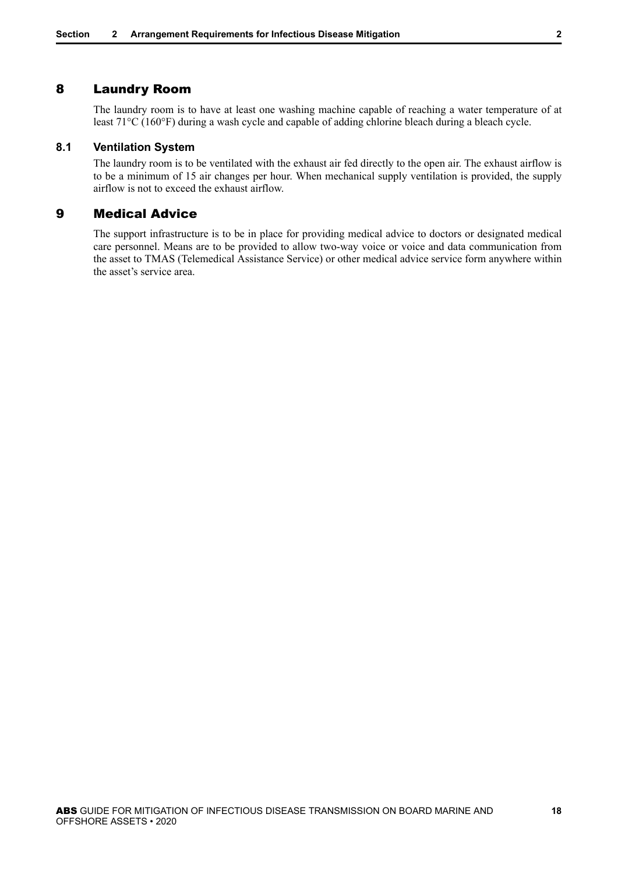## <span id="page-17-0"></span>8 Laundry Room

The laundry room is to have at least one washing machine capable of reaching a water temperature of at least 71°C (160°F) during a wash cycle and capable of adding chlorine bleach during a bleach cycle.

#### **8.1 Ventilation System**

The laundry room is to be ventilated with the exhaust air fed directly to the open air. The exhaust airflow is to be a minimum of 15 air changes per hour. When mechanical supply ventilation is provided, the supply airflow is not to exceed the exhaust airflow.

## 9 Medical Advice

The support infrastructure is to be in place for providing medical advice to doctors or designated medical care personnel. Means are to be provided to allow two-way voice or voice and data communication from the asset to TMAS (Telemedical Assistance Service) or other medical advice service form anywhere within the asset's service area.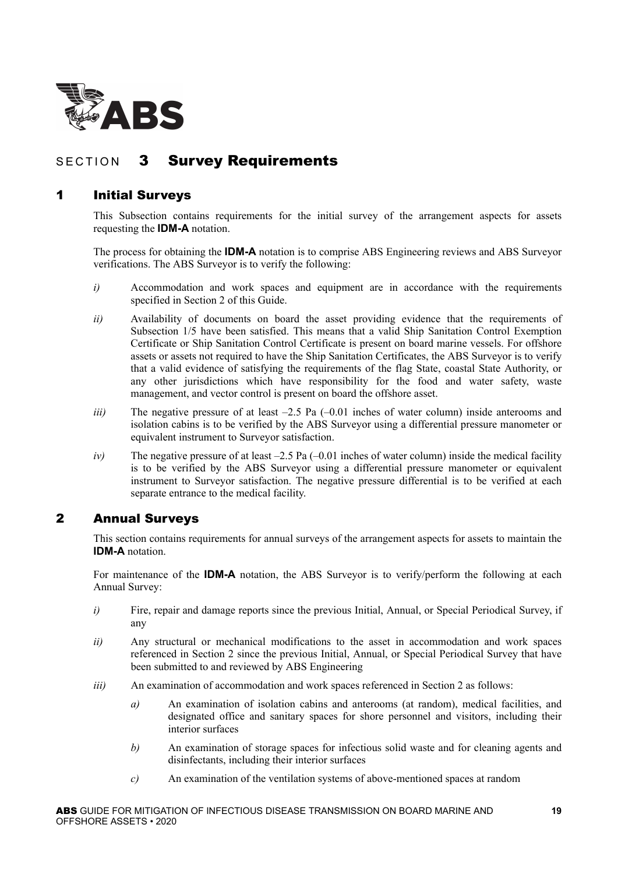<span id="page-18-0"></span>

## SECTION 3 Survey Requirements

## 1 Initial Surveys

This Subsection contains requirements for the initial survey of the arrangement aspects for assets requesting the **IDM-A** notation.

The process for obtaining the **IDM-A** notation is to comprise ABS Engineering reviews and ABS Surveyor verifications. The ABS Surveyor is to verify the following:

- *i*) Accommodation and work spaces and equipment are in accordance with the requirements specified in Section 2 of this Guide.
- *ii)* Availability of documents on board the asset providing evidence that the requirements of Subsection 1/5 have been satisfied. This means that a valid Ship Sanitation Control Exemption Certificate or Ship Sanitation Control Certificate is present on board marine vessels. For offshore assets or assets not required to have the Ship Sanitation Certificates, the ABS Surveyor is to verify that a valid evidence of satisfying the requirements of the flag State, coastal State Authority, or any other jurisdictions which have responsibility for the food and water safety, waste management, and vector control is present on board the offshore asset.
- *iii*) The negative pressure of at least –2.5 Pa (–0.01 inches of water column) inside anterooms and isolation cabins is to be verified by the ABS Surveyor using a differential pressure manometer or equivalent instrument to Surveyor satisfaction.
- *iv*) The negative pressure of at least –2.5 Pa (–0.01 inches of water column) inside the medical facility is to be verified by the ABS Surveyor using a differential pressure manometer or equivalent instrument to Surveyor satisfaction. The negative pressure differential is to be verified at each separate entrance to the medical facility.

## 2 Annual Surveys

This section contains requirements for annual surveys of the arrangement aspects for assets to maintain the **IDM-A** notation.

For maintenance of the **IDM-A** notation, the ABS Surveyor is to verify/perform the following at each Annual Survey:

- *i*) Fire, repair and damage reports since the previous Initial, Annual, or Special Periodical Survey, if any
- *ii)* Any structural or mechanical modifications to the asset in accommodation and work spaces referenced in Section 2 since the previous Initial, Annual, or Special Periodical Survey that have been submitted to and reviewed by ABS Engineering
- *iii*) An examination of accommodation and work spaces referenced in Section 2 as follows:
	- *a)* An examination of isolation cabins and anterooms (at random), medical facilities, and designated office and sanitary spaces for shore personnel and visitors, including their interior surfaces
	- *b)* An examination of storage spaces for infectious solid waste and for cleaning agents and disinfectants, including their interior surfaces
	- *c)* An examination of the ventilation systems of above-mentioned spaces at random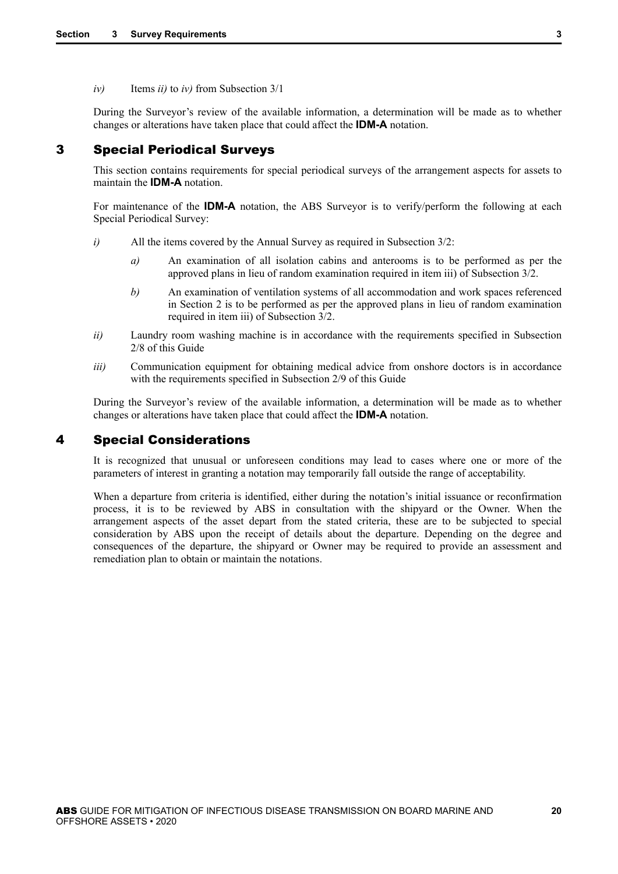<span id="page-19-0"></span>*iv)* Items *ii)* to *iv)* from Subsection 3/1

During the Surveyor's review of the available information, a determination will be made as to whether changes or alterations have taken place that could affect the **IDM-A** notation.

## 3 Special Periodical Surveys

This section contains requirements for special periodical surveys of the arrangement aspects for assets to maintain the **IDM-A** notation.

For maintenance of the **IDM-A** notation, the ABS Surveyor is to verify/perform the following at each Special Periodical Survey:

- *i*) All the items covered by the Annual Survey as required in Subsection 3/2:
	- *a)* An examination of all isolation cabins and anterooms is to be performed as per the approved plans in lieu of random examination required in item iii) of Subsection 3/2.
	- *b)* An examination of ventilation systems of all accommodation and work spaces referenced in Section 2 is to be performed as per the approved plans in lieu of random examination required in item iii) of Subsection 3/2.
- *ii*) Laundry room washing machine is in accordance with the requirements specified in Subsection 2/8 of this Guide
- *iii*) Communication equipment for obtaining medical advice from onshore doctors is in accordance with the requirements specified in Subsection 2/9 of this Guide

During the Surveyor's review of the available information, a determination will be made as to whether changes or alterations have taken place that could affect the **IDM-A** notation.

## 4 Special Considerations

It is recognized that unusual or unforeseen conditions may lead to cases where one or more of the parameters of interest in granting a notation may temporarily fall outside the range of acceptability.

When a departure from criteria is identified, either during the notation's initial issuance or reconfirmation process, it is to be reviewed by ABS in consultation with the shipyard or the Owner. When the arrangement aspects of the asset depart from the stated criteria, these are to be subjected to special consideration by ABS upon the receipt of details about the departure. Depending on the degree and consequences of the departure, the shipyard or Owner may be required to provide an assessment and remediation plan to obtain or maintain the notations.